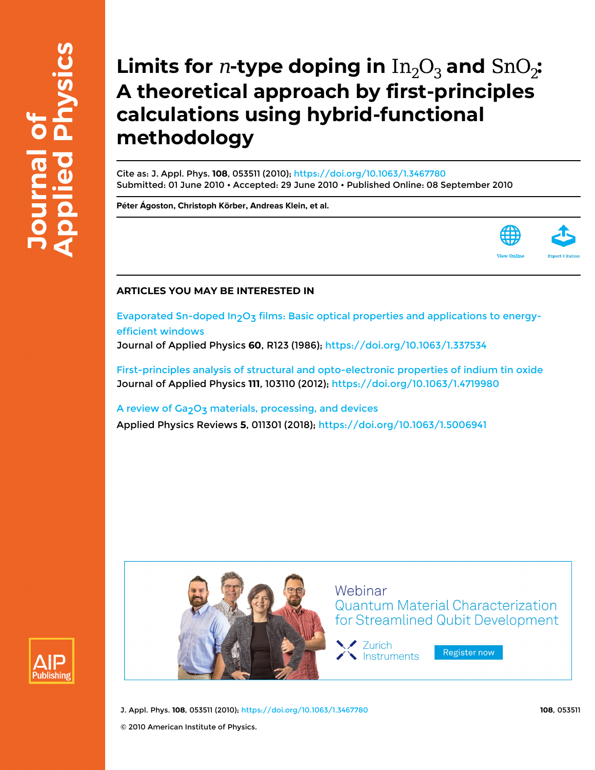# **Limits for** *n***-type doping in**  $In_2O_3$  **and**  $SnO_2$ **: A theoretical approach by first-principles calculations using hybrid-functional methodology**

Cite as: J. Appl. Phys. **108**, 053511 (2010); <https://doi.org/10.1063/1.3467780> Submitted: 01 June 2010 • Accepted: 29 June 2010 • Published Online: 08 September 2010

**[Péter Ágoston](https://aip.scitation.org/author/%C3%81goston%2C+P%C3%A9ter), [Christoph Körber,](https://aip.scitation.org/author/K%C3%B6rber%2C+Christoph) [Andreas Klein](https://aip.scitation.org/author/Klein%2C+Andreas), et al.**



### **ARTICLES YOU MAY BE INTERESTED IN**

Evaporated Sn-doped In<sub>2</sub>O<sub>3</sub> films: Basic optical properties and applications to energy[efficient windows](https://aip.scitation.org/doi/10.1063/1.337534) Journal of Applied Physics **60**, R123 (1986); <https://doi.org/10.1063/1.337534>

[First-principles analysis of structural and opto-electronic properties of indium tin oxide](https://aip.scitation.org/doi/10.1063/1.4719980) Journal of Applied Physics **111**, 103110 (2012); <https://doi.org/10.1063/1.4719980>

A review of Ga<sub>2</sub>O<sub>3</sub> materials, processing, and devices Applied Physics Reviews **5**, 011301 (2018); <https://doi.org/10.1063/1.5006941>





J. Appl. Phys. **108**, 053511 (2010); <https://doi.org/10.1063/1.3467780> **108**, 053511

© 2010 American Institute of Physics.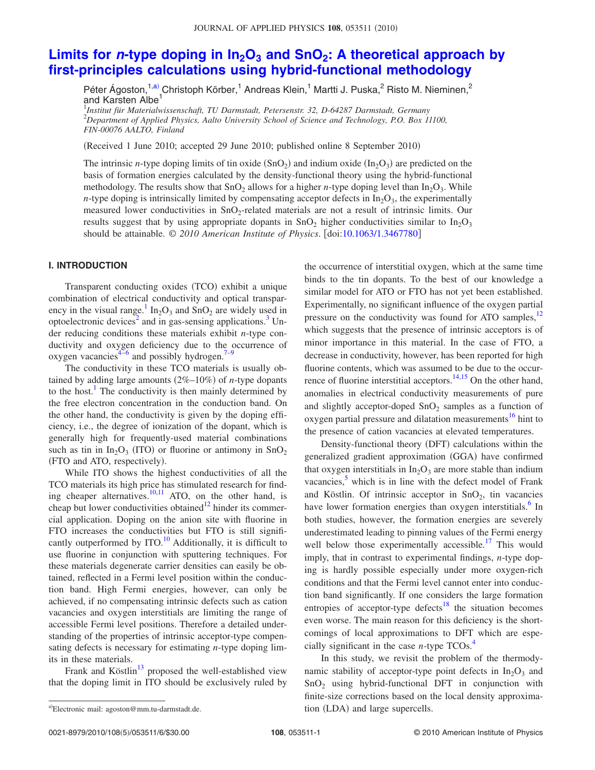## Limits for *n*-type doping in  $In_2O_3$  and SnO<sub>2</sub>: A theoretical approach by **[first-principles calculations using hybrid-functional methodology](http://dx.doi.org/10.1063/1.3467780)**

Péter Ágoston,<sup>1,a)</sup> Christoph Körber,<sup>1</sup> Andreas Klein,<sup>1</sup> Martti J. Puska,<sup>2</sup> Risto M. Nieminen,<sup>2</sup> and Karsten Albe<sup>1</sup>

1 *Institut für Materialwissenschaft, TU Darmstadt, Petersenstr. 32, D-64287 Darmstadt, Germany* 2 *Department of Applied Physics, Aalto University School of Science and Technology, P.O. Box 11100, FIN-00076 AALTO, Finland*

(Received 1 June 2010; accepted 29 June 2010; published online 8 September 2010)

The intrinsic *n*-type doping limits of tin oxide  $(SnO_2)$  and indium oxide  $(In_2O_3)$  are predicted on the basis of formation energies calculated by the density-functional theory using the hybrid-functional methodology. The results show that  $SnO<sub>2</sub>$  allows for a higher *n*-type doping level than  $In<sub>2</sub>O<sub>3</sub>$ . While *n*-type doping is intrinsically limited by compensating acceptor defects in  $In_2O_3$ , the experimentally measured lower conductivities in  $SnO<sub>2</sub>$ -related materials are not a result of intrinsic limits. Our results suggest that by using appropriate dopants in  $SnO<sub>2</sub>$  higher conductivities similar to  $In<sub>2</sub>O<sub>3</sub>$ should be attainable. © 2010 American Institute of Physics. [doi[:10.1063/1.3467780](http://dx.doi.org/10.1063/1.3467780)]

#### **I. INTRODUCTION**

Transparent conducting oxides (TCO) exhibit a unique combination of electrical conductivity and optical transparency in the visual range.<sup>1</sup> In<sub>2</sub>O<sub>3</sub> and SnO<sub>2</sub> are widely used in optoelectronic devices<sup>2</sup> and in gas-sensing applications.<sup>3</sup> Under reducing conditions these materials exhibit *n*-type conductivity and oxygen deficiency due to the occurrence of oxygen vacancies<sup>4[–6](#page-5-4)</sup> and possibly hydrogen.<sup>7–[9](#page-5-6)</sup>

The conductivity in these TCO materials is usually obtained by adding large amounts  $(2\% - 10\%)$  of *n*-type dopants to the host.<sup>1</sup> The conductivity is then mainly determined by the free electron concentration in the conduction band. On the other hand, the conductivity is given by the doping efficiency, i.e., the degree of ionization of the dopant, which is generally high for frequently-used material combinations such as tin in  $In_2O_3$  (ITO) or fluorine or antimony in  $SnO_2$ (FTO and ATO, respectively).

While ITO shows the highest conductivities of all the TCO materials its high price has stimulated research for finding cheaper alternatives. $^{10,11}$  $^{10,11}$  $^{10,11}$  ATO, on the other hand, is cheap but lower conductivities obtained $12$  hinder its commercial application. Doping on the anion site with fluorine in FTO increases the conductivities but FTO is still significantly outperformed by  $ITO<sup>10</sup>$  Additionally, it is difficult to use fluorine in conjunction with sputtering techniques. For these materials degenerate carrier densities can easily be obtained, reflected in a Fermi level position within the conduction band. High Fermi energies, however, can only be achieved, if no compensating intrinsic defects such as cation vacancies and oxygen interstitials are limiting the range of accessible Fermi level positions. Therefore a detailed understanding of the properties of intrinsic acceptor-type compensating defects is necessary for estimating *n*-type doping limits in these materials.

Frank and Köstlin $^{13}$  proposed the well-established view that the doping limit in ITO should be exclusively ruled by the occurrence of interstitial oxygen, which at the same time binds to the tin dopants. To the best of our knowledge a similar model for ATO or FTO has not yet been established. Experimentally, no significant influence of the oxygen partial pressure on the conductivity was found for ATO samples,<sup>12</sup> which suggests that the presence of intrinsic acceptors is of minor importance in this material. In the case of FTO, a decrease in conductivity, however, has been reported for high fluorine contents, which was assumed to be due to the occurrence of fluorine interstitial acceptors. $14,15$  $14,15$  On the other hand, anomalies in electrical conductivity measurements of pure and slightly acceptor-doped  $SnO<sub>2</sub>$  samples as a function of oxygen partial pressure and dilatation measurements<sup>16</sup> hint to the presence of cation vacancies at elevated temperatures.

Density-functional theory (DFT) calculations within the generalized gradient approximation (GGA) have confirmed that oxygen interstitials in  $In_2O_3$  are more stable than indium vacancies, $5$  which is in line with the defect model of Frank and Köstlin. Of intrinsic acceptor in  $SnO<sub>2</sub>$ , tin vacancies have lower formation energies than oxygen interstitials.<sup>6</sup> In both studies, however, the formation energies are severely underestimated leading to pinning values of the Fermi energy well below those experimentally accessible.<sup>17</sup> This would imply, that in contrast to experimental findings, *n*-type doping is hardly possible especially under more oxygen-rich conditions and that the Fermi level cannot enter into conduction band significantly. If one considers the large formation entropies of acceptor-type defects<sup>18</sup> the situation becomes even worse. The main reason for this deficiency is the shortcomings of local approximations to DFT which are especially significant in the case  $n$ -type  $TCOs<sup>4</sup>$ .

In this study, we revisit the problem of the thermodynamic stability of acceptor-type point defects in  $In_2O_3$  and  $SnO<sub>2</sub>$  using hybrid-functional DFT in conjunction with finite-size corrections based on the local density approximation (LDA) and large supercells. a)Electronic mail: agoston@mm.tu-darmstadt.de. 
and large supercells.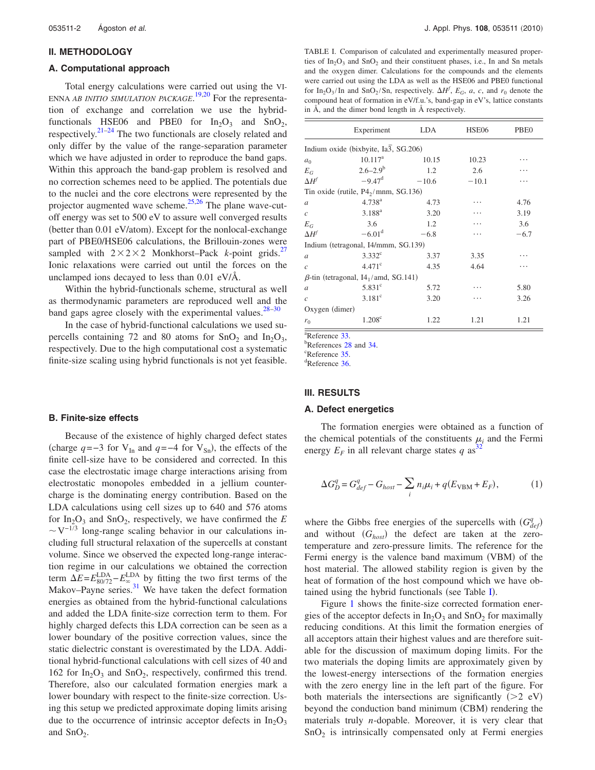#### **II. METHODOLOGY**

#### **A. Computational approach**

Total energy calculations were carried out using the VI-ENNA *AB INITIO SIMULATION PACKAGE*. [19,](#page-5-17)[20](#page-5-18) For the representation of exchange and correlation we use the hybridfunctionals HSE06 and PBE0 for  $In_2O_3$  and  $SnO_2$ , respectively. $21-24$  $21-24$  The two functionals are closely related and only differ by the value of the range-separation parameter which we have adjusted in order to reproduce the band gaps. Within this approach the band-gap problem is resolved and no correction schemes need to be applied. The potentials due to the nuclei and the core electrons were represented by the projector augmented wave scheme[.25](#page-5-21)[,26](#page-5-22) The plane wave-cutoff energy was set to 500 eV to assure well converged results (better than 0.01 eV/atom). Except for the nonlocal-exchange part of PBE0/HSE06 calculations, the Brillouin-zones were sampled with  $2 \times 2 \times 2$  Monkhorst–Pack *k*-point grids.<sup>27</sup> Ionic relaxations were carried out until the forces on the unclamped ions decayed to less than 0.01 eV/Å.

Within the hybrid-functionals scheme, structural as well as thermodynamic parameters are reproduced well and the band gaps agree closely with the experimental values. $28-30$  $28-30$ 

In the case of hybrid-functional calculations we used supercells containing 72 and 80 atoms for  $SnO<sub>2</sub>$  and  $In<sub>2</sub>O<sub>3</sub>$ , respectively. Due to the high computational cost a systematic finite-size scaling using hybrid functionals is not yet feasible.

#### **B. Finite-size effects**

Because of the existence of highly charged defect states (charge  $q = -3$  for V<sub>In</sub> and  $q = -4$  for V<sub>Sn</sub>), the effects of the finite cell-size have to be considered and corrected. In this case the electrostatic image charge interactions arising from electrostatic monopoles embedded in a jellium countercharge is the dominating energy contribution. Based on the LDA calculations using cell sizes up to 640 and 576 atoms for  $In_2O_3$  and  $SnO_2$ , respectively, we have confirmed the *E*  $\sim$ V<sup>-1/3</sup> long-range scaling behavior in our calculations including full structural relaxation of the supercells at constant volume. Since we observed the expected long-range interaction regime in our calculations we obtained the correction term  $\Delta E = E_{80/72}^{\text{LDA}} - E_{\infty}^{\text{LDA}}$  by fitting the two first terms of the Makov–Payne series.<sup>31</sup> We have taken the defect formation energies as obtained from the hybrid-functional calculations and added the LDA finite-size correction term to them. For highly charged defects this LDA correction can be seen as a lower boundary of the positive correction values, since the static dielectric constant is overestimated by the LDA. Additional hybrid-functional calculations with cell sizes of 40 and 162 for  $In_2O_3$  and  $SnO_2$ , respectively, confirmed this trend. Therefore, also our calculated formation energies mark a lower boundary with respect to the finite-size correction. Using this setup we predicted approximate doping limits arising due to the occurrence of intrinsic acceptor defects in  $In_2O_3$ and  $SnO<sub>2</sub>$ .

<span id="page-2-0"></span>TABLE I. Comparison of calculated and experimentally measured properties of  $In_2O_3$  and  $SnO_2$  and their constituent phases, i.e., In and Sn metals and the oxygen dimer. Calculations for the compounds and the elements were carried out using the LDA as well as the HSE06 and PBE0 functional for In<sub>2</sub>O<sub>3</sub>/In and SnO<sub>2</sub>/Sn, respectively.  $\Delta H^f$ ,  $E_G$ , *a*, *c*, and  $r_0$  denote the compound heat of formation in eV/f.u.'s, band-gap in eV's, lattice constants in Å, and the dimer bond length in Å respectively.

|                | Experiment                                              | LDA     | HSE06   | PBE <sub>0</sub> |
|----------------|---------------------------------------------------------|---------|---------|------------------|
|                | Indium oxide (bixbyite, Ia3, SG.206)                    |         |         |                  |
| a <sub>0</sub> | $10.117^a$                                              | 10.15   | 10.23   |                  |
| $E_G$          | $2.6 - 2.9^b$                                           | 1.2     | 2.6     |                  |
| $\Delta H^f$   | $-9.47^{\rm d}$                                         | $-10.6$ | $-10.1$ |                  |
|                | Tin oxide (rutile, $P4_2/mnm$ , SG.136)                 |         |         |                  |
| $\overline{a}$ | $4.738^{a}$                                             | 4.73    |         | 4.76             |
| $\mathcal{C}$  | $3.188^{a}$                                             | 3.20    |         | 3.19             |
| $E_G$          | 3.6                                                     | 1.2     |         | 3.6              |
| $\Delta H^f$   | $-6.01d$                                                | $-6.8$  |         | $-6.7$           |
|                | Indium (tetragonal, I4/mmm, SG.139)                     |         |         |                  |
| $\mathfrak a$  | $3.332^{\circ}$                                         | 3.37    | 3.35    |                  |
| $\mathcal{C}$  | $4.471^{\circ}$                                         | 4.35    | 4.64    |                  |
|                | $\beta$ -tin (tetragonal, 14 <sub>1</sub> /amd, SG.141) |         |         |                  |
| $\overline{a}$ | $5.831^{\circ}$                                         | 5.72    |         | 5.80             |
| $\mathcal{C}$  | $3.181$ <sup>c</sup>                                    | 3.20    |         | 3.26             |
| Oxygen (dimer) |                                                         |         |         |                  |
| $r_0$          | $1.208^{\circ}$                                         | 1.22    | 1.21    | 1.21             |

 $\frac{a}{b}$ Reference [33.](#page-6-3)

<sup>b</sup>References [28](#page-5-24) and [34.](#page-6-4)

 $c$ Reference [35.](#page-6-5)

Reference [36.](#page-6-6)

#### **III. RESULTS**

#### **A. Defect energetics**

The formation energies were obtained as a function of the chemical potentials of the constituents  $\mu_i$  and the Fermi energy  $E_F$  in all relevant charge states q as<sup>[32](#page-6-2)</sup>

$$
\Delta G_D^q = G_{def}^q - G_{host} - \sum_i n_i \mu_i + q(E_{VBM} + E_F),\tag{1}
$$

where the Gibbs free energies of the supercells with  $(G_{def}^q)$ and without  $(G_{host})$  the defect are taken at the zerotemperature and zero-pressure limits. The reference for the Fermi energy is the valence band maximum (VBM) of the host material. The allowed stability region is given by the heat of formation of the host compound which we have ob-tained using the hybrid functionals (see Table [I](#page-2-0)).

Figure [1](#page-3-0) shows the finite-size corrected formation energies of the acceptor defects in  $In_2O_3$  and  $SnO_2$  for maximally reducing conditions. At this limit the formation energies of all acceptors attain their highest values and are therefore suitable for the discussion of maximum doping limits. For the two materials the doping limits are approximately given by the lowest-energy intersections of the formation energies with the zero energy line in the left part of the figure. For both materials the intersections are significantly  $(>2$  eV) beyond the conduction band minimum (CBM) rendering the materials truly *n*-dopable. Moreover, it is very clear that  $SnO<sub>2</sub>$  is intrinsically compensated only at Fermi energies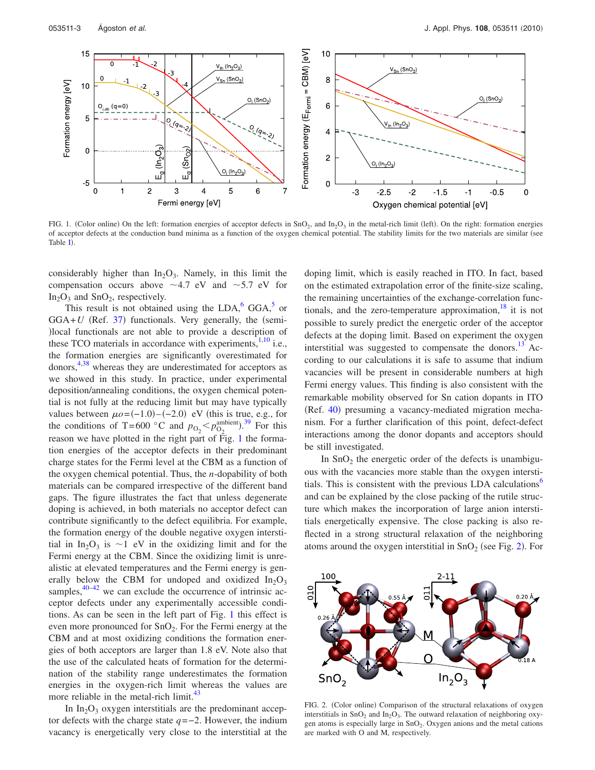<span id="page-3-0"></span>

FIG. 1. (Color online) On the left: formation energies of acceptor defects in  $SnO<sub>2</sub>$ , and  $In<sub>2</sub>O<sub>3</sub>$  in the metal-rich limit (left). On the right: formation energies of acceptor defects at the conduction band minima as a function of the oxygen chemical potential. The stability limits for the two materials are similar (see Table [I](#page-2-0).

considerably higher than  $In_2O_3$ . Namely, in this limit the compensation occurs above  $\sim$  4.7 eV and  $\sim$  5.7 eV for  $In_2O_3$  and  $SnO_2$ , respectively.

This result is not obtained using the  $LDA$ ,  $GGA$ , or  $GGA+U$  (Ref. [37](#page-6-7)) functionals. Very generally, the (semilocal functionals are not able to provide a description of these TCO materials in accordance with experiments, $1,10$  $1,10$  $1,10$  i.e., the formation energies are significantly overestimated for donors,<sup>4[,38](#page-6-8)</sup> whereas they are underestimated for acceptors as we showed in this study. In practice, under experimental deposition/annealing conditions, the oxygen chemical potential is not fully at the reducing limit but may have typically values between  $\mu o = (-1.0) - (-2.0)$  eV (this is true, e.g., for the conditions of T=600 °C and  $p_{O_2} < p_{O_2}^{\text{ambient}}$ .<sup>[39](#page-6-9)</sup> For this reason we have plotted in the right part of Fig. [1](#page-3-0) the formation energies of the acceptor defects in their predominant charge states for the Fermi level at the CBM as a function of the oxygen chemical potential. Thus, the *n*-dopability of both materials can be compared irrespective of the different band gaps. The figure illustrates the fact that unless degenerate doping is achieved, in both materials no acceptor defect can contribute significantly to the defect equilibria. For example, the formation energy of the double negative oxygen interstitial in In<sub>2</sub>O<sub>3</sub> is  $\sim$ 1 eV in the oxidizing limit and for the Fermi energy at the CBM. Since the oxidizing limit is unrealistic at elevated temperatures and the Fermi energy is generally below the CBM for undoped and oxidized  $In_2O_3$ samples,  $40-42$  $40-42$  we can exclude the occurrence of intrinsic acceptor defects under any experimentally accessible conditions. As can be seen in the left part of Fig. [1](#page-3-0) this effect is even more pronounced for  $SnO<sub>2</sub>$ . For the Fermi energy at the CBM and at most oxidizing conditions the formation energies of both acceptors are larger than 1.8 eV. Note also that the use of the calculated heats of formation for the determination of the stability range underestimates the formation energies in the oxygen-rich limit whereas the values are more reliable in the metal-rich limit.<sup>43</sup>

In  $In_2O_3$  oxygen interstitials are the predominant acceptor defects with the charge state *q*=−2. However, the indium vacancy is energetically very close to the interstitial at the doping limit, which is easily reached in ITO. In fact, based on the estimated extrapolation error of the finite-size scaling, the remaining uncertainties of the exchange-correlation functionals, and the zero-temperature approximation,  $18$  it is not possible to surely predict the energetic order of the acceptor defects at the doping limit. Based on experiment the oxygen interstitial was suggested to compensate the donors.<sup>13</sup> According to our calculations it is safe to assume that indium vacancies will be present in considerable numbers at high Fermi energy values. This finding is also consistent with the remarkable mobility observed for Sn cation dopants in ITO (Ref. [40](#page-6-10)) presuming a vacancy-mediated migration mechanism. For a further clarification of this point, defect-defect interactions among the donor dopants and acceptors should be still investigated.

In  $SnO<sub>2</sub>$  the energetic order of the defects is unambiguous with the vacancies more stable than the oxygen interstitials. This is consistent with the previous LDA calculations $\delta$ and can be explained by the close packing of the rutile structure which makes the incorporation of large anion interstitials energetically expensive. The close packing is also reflected in a strong structural relaxation of the neighboring atoms around the oxygen interstitial in  $SnO<sub>2</sub>$  $SnO<sub>2</sub>$  $SnO<sub>2</sub>$  (see Fig. 2). For

<span id="page-3-1"></span>

FIG. 2. (Color online) Comparison of the structural relaxations of oxygen interstitials in  $SnO<sub>2</sub>$  and  $In<sub>2</sub>O<sub>3</sub>$ . The outward relaxation of neighboring oxygen atoms is especially large in  $SnO<sub>2</sub>$ . Oxygen anions and the metal cations are marked with O and M, respectively.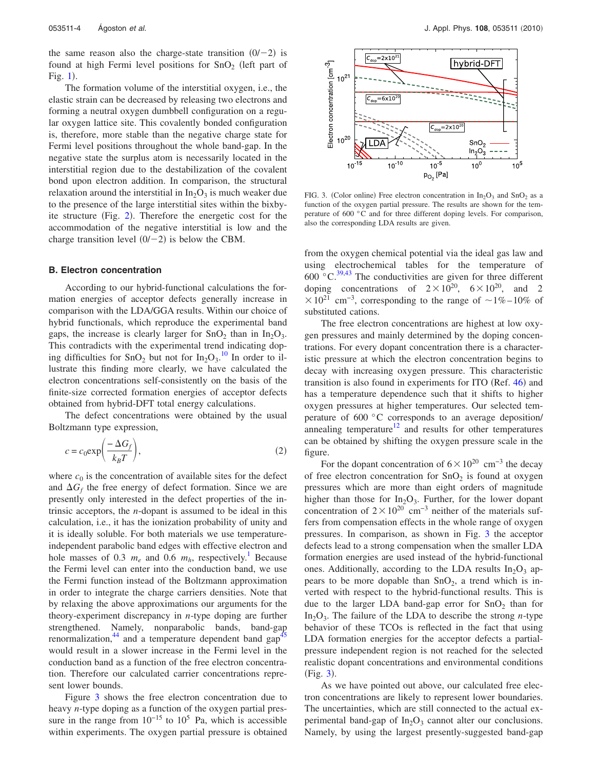the same reason also the charge-state transition  $(0/-2)$  is found at high Fermi level positions for  $SnO<sub>2</sub>$  (left part of Fig.  $1$ ).

The formation volume of the interstitial oxygen, i.e., the elastic strain can be decreased by releasing two electrons and forming a neutral oxygen dumbbell configuration on a regular oxygen lattice site. This covalently bonded configuration is, therefore, more stable than the negative charge state for Fermi level positions throughout the whole band-gap. In the negative state the surplus atom is necessarily located in the interstitial region due to the destabilization of the covalent bond upon electron addition. In comparison, the structural relaxation around the interstitial in  $In_2O_3$  is much weaker due to the presence of the large interstitial sites within the bixby-ite structure (Fig. [2](#page-3-1)). Therefore the energetic cost for the accommodation of the negative interstitial is low and the charge transition level  $(0/-2)$  is below the CBM.

#### **B. Electron concentration**

According to our hybrid-functional calculations the formation energies of acceptor defects generally increase in comparison with the LDA/GGA results. Within our choice of hybrid functionals, which reproduce the experimental band gaps, the increase is clearly larger for  $SnO<sub>2</sub>$  than in  $In<sub>2</sub>O<sub>3</sub>$ . This contradicts with the experimental trend indicating doping difficulties for  $\text{SnO}_2$  but not for  $\text{In}_2\text{O}_3$ .<sup>[10](#page-5-7)</sup> In order to illustrate this finding more clearly, we have calculated the electron concentrations self-consistently on the basis of the finite-size corrected formation energies of acceptor defects obtained from hybrid-DFT total energy calculations.

The defect concentrations were obtained by the usual Boltzmann type expression,

$$
c = c_0 \exp\left(\frac{-\Delta G_f}{k_B T}\right),\tag{2}
$$

where  $c_0$  is the concentration of available sites for the defect and  $\Delta G_f$  the free energy of defect formation. Since we are presently only interested in the defect properties of the intrinsic acceptors, the *n*-dopant is assumed to be ideal in this calculation, i.e., it has the ionization probability of unity and it is ideally soluble. For both materials we use temperatureindependent parabolic band edges with effective electron and hole masses of 0.3  $m_e$  and 0.6  $m_h$ , respectively.<sup>1</sup> Because the Fermi level can enter into the conduction band, we use the Fermi function instead of the Boltzmann approximation in order to integrate the charge carriers densities. Note that by relaxing the above approximations our arguments for the theory-experiment discrepancy in *n*-type doping are further strengthened. Namely, nonparabolic bands, band-gap renormalization,<sup>44</sup> and a temperature dependent band gap<sup>4</sup> would result in a slower increase in the Fermi level in the conduction band as a function of the free electron concentration. Therefore our calculated carrier concentrations represent lower bounds.

Figure [3](#page-4-0) shows the free electron concentration due to heavy *n*-type doping as a function of the oxygen partial pressure in the range from  $10^{-15}$  to  $10^5$  Pa, which is accessible within experiments. The oxygen partial pressure is obtained

<span id="page-4-0"></span>

FIG. 3. (Color online) Free electron concentration in  $In_2O_3$  and  $SnO_2$  as a function of the oxygen partial pressure. The results are shown for the temperature of 600 °C and for three different doping levels. For comparison, also the corresponding LDA results are given.

from the oxygen chemical potential via the ideal gas law and using electrochemical tables for the temperature of 600  $\degree$ C.<sup>39[,43](#page-6-12)</sup> The conductivities are given for three different doping concentrations of  $2 \times 10^{20}$ ,  $6 \times 10^{20}$ , and 2  $\times$  10<sup>21</sup> cm<sup>-3</sup>, corresponding to the range of ~1% – 10% of substituted cations.

The free electron concentrations are highest at low oxygen pressures and mainly determined by the doping concentrations. For every dopant concentration there is a characteristic pressure at which the electron concentration begins to decay with increasing oxygen pressure. This characteristic transition is also found in experiments for ITO (Ref. [46](#page-6-15)) and has a temperature dependence such that it shifts to higher oxygen pressures at higher temperatures. Our selected temperature of 600 °C corresponds to an average deposition/ annealing temperature<sup>12</sup> and results for other temperatures can be obtained by shifting the oxygen pressure scale in the figure.

For the dopant concentration of  $6 \times 10^{20}$  cm<sup>-3</sup> the decay of free electron concentration for  $SnO<sub>2</sub>$  is found at oxygen pressures which are more than eight orders of magnitude higher than those for  $In_2O_3$ . Further, for the lower dopant concentration of  $2 \times 10^{20}$  cm<sup>-3</sup> neither of the materials suffers from compensation effects in the whole range of oxygen pressures. In comparison, as shown in Fig. [3](#page-4-0) the acceptor defects lead to a strong compensation when the smaller LDA formation energies are used instead of the hybrid-functional ones. Additionally, according to the LDA results  $In_2O_3$  appears to be more dopable than  $SnO<sub>2</sub>$ , a trend which is inverted with respect to the hybrid-functional results. This is due to the larger LDA band-gap error for  $SnO<sub>2</sub>$  than for In<sub>2</sub>O<sub>3</sub>. The failure of the LDA to describe the strong *n*-type behavior of these TCOs is reflected in the fact that using LDA formation energies for the acceptor defects a partialpressure independent region is not reached for the selected realistic dopant concentrations and environmental conditions (Fig. [3](#page-4-0)).

As we have pointed out above, our calculated free electron concentrations are likely to represent lower boundaries. The uncertainties, which are still connected to the actual experimental band-gap of  $In_2O_3$  cannot alter our conclusions. Namely, by using the largest presently-suggested band-gap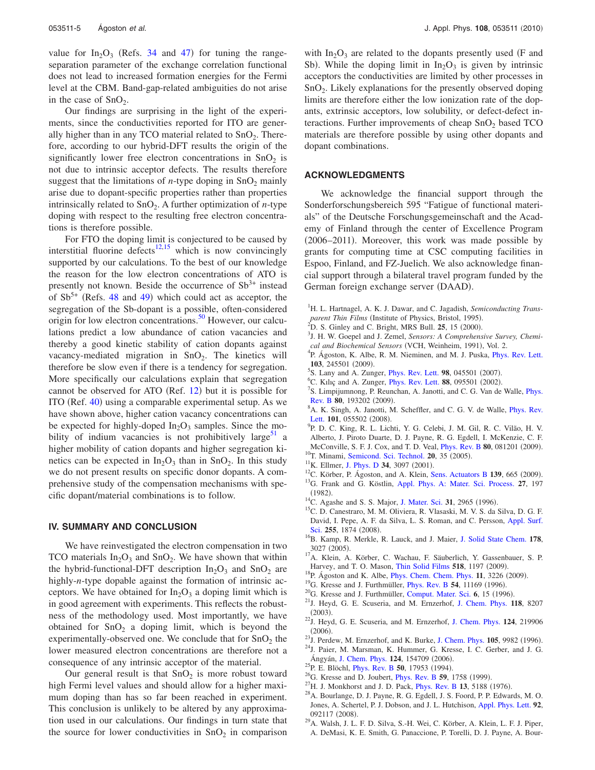value for  $In_2O_3$  (Refs. [34](#page-6-4) and [47](#page-6-16)) for tuning the rangeseparation parameter of the exchange correlation functional does not lead to increased formation energies for the Fermi level at the CBM. Band-gap-related ambiguities do not arise in the case of  $SnO<sub>2</sub>$ .

Our findings are surprising in the light of the experiments, since the conductivities reported for ITO are generally higher than in any TCO material related to  $SnO<sub>2</sub>$ . Therefore, according to our hybrid-DFT results the origin of the significantly lower free electron concentrations in  $SnO<sub>2</sub>$  is not due to intrinsic acceptor defects. The results therefore suggest that the limitations of *n*-type doping in  $SnO<sub>2</sub>$  mainly arise due to dopant-specific properties rather than properties intrinsically related to  $SnO<sub>2</sub>$ . A further optimization of *n*-type doping with respect to the resulting free electron concentrations is therefore possible.

For FTO the doping limit is conjectured to be caused by interstitial fluorine defects<sup>12[,15](#page-5-12)</sup> which is now convincingly supported by our calculations. To the best of our knowledge the reason for the low electron concentrations of ATO is presently not known. Beside the occurrence of  $Sb<sup>3+</sup>$  instead of  $Sb^{5+}$  (Refs. [48](#page-6-17) and [49](#page-6-18)) which could act as acceptor, the segregation of the Sb-dopant is a possible, often-considered origin for low electron concentrations.<sup>50</sup> However, our calculations predict a low abundance of cation vacancies and thereby a good kinetic stability of cation dopants against vacancy-mediated migration in  $SnO<sub>2</sub>$ . The kinetics will therefore be slow even if there is a tendency for segregation. More specifically our calculations explain that segregation cannot be observed for ATO (Ref. [12](#page-5-9)) but it is possible for ITO (Ref. [40](#page-6-10)) using a comparable experimental setup. As we have shown above, higher cation vacancy concentrations can be expected for highly-doped  $In_2O_3$  samples. Since the mobility of indium vacancies is not prohibitively large<sup>51</sup> a higher mobility of cation dopants and higher segregation kinetics can be expected in  $In_2O_3$  than in  $SnO_2$ . In this study we do not present results on specific donor dopants. A comprehensive study of the compensation mechanisms with specific dopant/material combinations is to follow.

#### **IV. SUMMARY AND CONCLUSION**

We have reinvestigated the electron compensation in two TCO materials  $In_2O_3$  and  $SnO_2$ . We have shown that within the hybrid-functional-DFT description  $In_2O_3$  and  $SnO_2$  are highly-*n*-type dopable against the formation of intrinsic acceptors. We have obtained for  $In_2O_3$  a doping limit which is in good agreement with experiments. This reflects the robustness of the methodology used. Most importantly, we have obtained for  $SnO<sub>2</sub>$  a doping limit, which is beyond the experimentally-observed one. We conclude that for  $SnO<sub>2</sub>$  the lower measured electron concentrations are therefore not a consequence of any intrinsic acceptor of the material.

Our general result is that  $SnO<sub>2</sub>$  is more robust toward high Fermi level values and should allow for a higher maximum doping than has so far been reached in experiment. This conclusion is unlikely to be altered by any approximation used in our calculations. Our findings in turn state that the source for lower conductivities in  $SnO<sub>2</sub>$  in comparison

with  $In_2O_3$  are related to the dopants presently used (F and Sb). While the doping limit in  $In_2O_3$  is given by intrinsic acceptors the conductivities are limited by other processes in SnO2. Likely explanations for the presently observed doping limits are therefore either the low ionization rate of the dopants, extrinsic acceptors, low solubility, or defect-defect interactions. Further improvements of cheap  $SnO<sub>2</sub>$  based TCO materials are therefore possible by using other dopants and dopant combinations.

#### **ACKNOWLEDGMENTS**

We acknowledge the financial support through the Sonderforschungsbereich 595 "Fatigue of functional materials" of the Deutsche Forschungsgemeinschaft and the Academy of Finland through the center of Excellence Program (2006–2011). Moreover, this work was made possible by grants for computing time at CSC computing facilities in Espoo, Finland, and FZ-Juelich. We also acknowledge financial support through a bilateral travel program funded by the German foreign exchange server (DAAD).

- <span id="page-5-1"></span> $\frac{1}{2}$ D. S. Ginley and C. Bright, MRS Bull. **25**, 15 (2000).
- <span id="page-5-2"></span><sup>3</sup>J. H. W. Goepel and J. Zemel, *Sensors: A Comprehensive Survey, Chemical and Biochemical Sensors* (VCH, Weinheim, 1991), Vol. 2.<br><sup>4</sup> P. Ágoston, *V.* Alba, *P. M. Nigminon, and M. J. Buske, Phys.*
- <span id="page-5-3"></span><sup>4</sup>P. Ágoston, K. Albe, R. M. Nieminen, and M. J. Puska, *[Phys. Rev. Lett.](http://dx.doi.org/10.1103/PhysRevLett.103.245501)* **103**, 245501 (2009).
- <span id="page-5-14"></span> ${}^{5}S$ . Lany and A. Zunger, [Phys. Rev. Lett.](http://dx.doi.org/10.1103/PhysRevLett.98.045501) **98**, 045501 (2007).
- <span id="page-5-4"></span><sup>6</sup>C. Kılıç and A. Zunger, [Phys. Rev. Lett.](http://dx.doi.org/10.1103/PhysRevLett.88.095501) **88**, 095501 (2002).
- <span id="page-5-5"></span><sup>'</sup>S. Limpijumnong, P. Reunchan, A. Janotti, and C. G. Van de Walle, *[Phys.](http://dx.doi.org/10.1103/PhysRevB.80.193202)* **[Rev. B](http://dx.doi.org/10.1103/PhysRevB.80.193202) 80, 193202 (2009).**<br> ${}^{8}$ A **V** Singh A Inpotti M
- <sup>8</sup>A. K. Singh, A. Janotti, M. Scheffler, and C. G. V. de Walle, *[Phys. Rev.](http://dx.doi.org/10.1103/PhysRevLett.101.055502)* **[Lett.](http://dx.doi.org/10.1103/PhysRevLett.101.055502) 101**, 055502 (2008).
- <span id="page-5-6"></span><sup>9</sup>P. D. C. King, R. L. Lichti, Y. G. Celebi, J. M. Gil, R. C. Vilão, H. V. Alberto, J. Piroto Duarte, D. J. Payne, R. G. Egdell, I. McKenzie, C. F. McConville, S. F. J. Cox, and T. D. Veal, *[Phys. Rev. B](http://dx.doi.org/10.1103/PhysRevB.80.081201)* 80, 081201 (2009). McConville, S. F. J. Cox, and T. D. Veal, *Phys. Rev. B* **80**, 081201 (2009).<sup>10</sup>T. Minami, [Semicond. Sci. Technol.](http://dx.doi.org/10.1088/0268-1242/20/4/004) **20**, 35 (2005).
- <span id="page-5-7"></span><sup>10</sup>T. Minami, Semicond. Sci. Technol. **20**, 35 (2005).<br><sup>11</sup>K. Ellmer, [J. Phys. D](http://dx.doi.org/10.1088/0022-3727/34/21/301) **34**, 3097 (2001).
- <span id="page-5-9"></span><span id="page-5-8"></span><sup>11</sup>K. Ellmer, J. Phys. D **34**, 3097 (2001).<br><sup>12</sup>C. Körber, P. Ágoston, and A. Klein, [Sens. Actuators B](http://dx.doi.org/10.1016/j.snb.2009.03.067) **139**, 665 (2009).
- <span id="page-5-10"></span><sup>13</sup>G. Frank and G. Köstlin, [Appl. Phys. A: Mater. Sci. Process.](http://dx.doi.org/10.1007/BF00619080) 27, 197  $(1982)$ .
- <span id="page-5-11"></span><sup>14</sup>C. Agashe and S. S. Major, [J. Mater. Sci.](http://dx.doi.org/10.1007/BF00356009) **31**, 2965 (1996).
- <span id="page-5-12"></span><sup>15</sup>C. D. Canestraro, M. M. Oliviera, R. Vlasaski, M. V. S. da Silva, D. G. F. David, I. Pepe, A. F. da Silva, L. S. Roman, and C. Persson, [Appl. Surf.](http://dx.doi.org/10.1016/j.apsusc.2008.06.113) [Sci.](http://dx.doi.org/10.1016/j.apsusc.2008.06.113) 255, 1874 (2008).
- <span id="page-5-13"></span><sup>16</sup>B. Kamp, R. Merkle, R. Lauck, and J. Maier, [J. Solid State Chem.](http://dx.doi.org/10.1016/j.jssc.2005.07.019) 178,  $3027(2005)$ .
- <span id="page-5-15"></span><sup>17</sup>A. Klein, A. Körber, C. Wachau, F. Säuberlich, Y. Gassenbauer, S. P. Harvey, and T. O. Mason, [Thin Solid Films](http://dx.doi.org/10.1016/j.tsf.2009.05.057) 518, 1197 (2009).
- <span id="page-5-16"></span><sup>18</sup>P. Ágoston and K. Albe, *[Phys. Chem. Chem. Phys.](http://dx.doi.org/10.1039/b900280d)* **11**, 3226 (2009).
- <span id="page-5-17"></span><sup>19</sup>G. Kresse and J. Furthmüller, *[Phys. Rev. B](http://dx.doi.org/10.1103/PhysRevB.54.11169)* 54, 11169 (1996).
- <span id="page-5-18"></span><sup>20</sup>G. Kresse and J. Furthmüller, [Comput. Mater. Sci.](http://dx.doi.org/10.1016/0927-0256(96)00008-0) 6, 15 (1996).
- <span id="page-5-19"></span><sup>21</sup>J. Heyd, G. E. Scuseria, and M. Ernzerhof, [J. Chem. Phys.](http://dx.doi.org/10.1063/1.1564060) 118, 8207  $(2003)$ .
- <sup>22</sup>J. Heyd, G. E. Scuseria, and M. Ernzerhof, [J. Chem. Phys.](http://dx.doi.org/10.1063/1.2204597) **124**, 219906  $(2006)$ .
- $^{23}$ J. Perdew, M. Ernzerhof, and K. Burke, [J. Chem. Phys.](http://dx.doi.org/10.1063/1.472933) **105**, 9982 (1996).
- <span id="page-5-20"></span><sup>24</sup>J. Paier, M. Marsman, K. Hummer, G. Kresse, I. C. Gerber, and J. G. Ángyán, [J. Chem. Phys.](http://dx.doi.org/10.1063/1.2187006) **124**, 154709 -
- <span id="page-5-21"></span><sup>25</sup>P. E. Blöchl, *[Phys. Rev. B](http://dx.doi.org/10.1103/PhysRevB.50.17953)* **50**, 17953 (1994).
- <span id="page-5-22"></span><sup>26</sup>G. Kresse and D. Joubert, *[Phys. Rev. B](http://dx.doi.org/10.1103/PhysRevB.59.1758)* 59, 1758 (1999).
- <span id="page-5-23"></span> $^{27}$ H. J. Monkhorst and J. D. Pack, *[Phys. Rev. B](http://dx.doi.org/10.1103/PhysRevB.13.5188)* 13, 5188 (1976).
- <span id="page-5-24"></span><sup>28</sup>A. Bourlange, D. J. Payne, R. G. Egdell, J. S. Foord, P. P. Edwards, M. O. Jones, A. Schertel, P. J. Dobson, and J. L. Hutchison, [Appl. Phys. Lett.](http://dx.doi.org/10.1063/1.2889500) **92**, 092117 (2008).
- $^{29}$ A. Walsh, J. L. F. D. Silva, S.-H. Wei, C. Körber, A. Klein, L. F. J. Piper, A. DeMasi, K. E. Smith, G. Panaccione, P. Torelli, D. J. Payne, A. Bour-

<span id="page-5-0"></span><sup>&</sup>lt;sup>1</sup>H. L. Hartnagel, A. K. J. Dawar, and C. Jagadish, *Semiconducting Transparent Thin Films* (Institute of Physics, Bristol, 1995).<br><sup>2</sup>D, S. Ginloy and C. Pricht, MBS Pull, 25, 15 (2000).